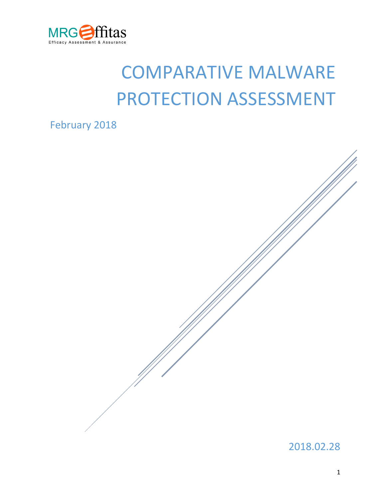

# COMPARATIVE MALWARE PROTECTION ASSESSMENT

February 2018

2018.02.28

1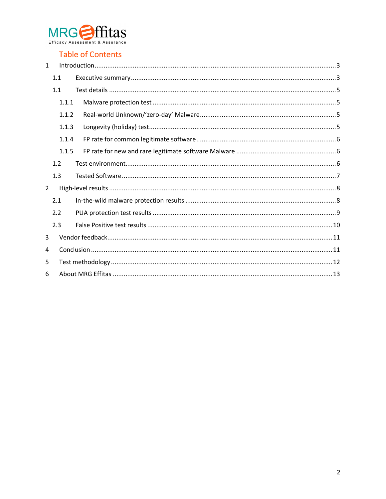

# **Table of Contents**

| $\mathbf{1}$   |       |       |  |  |
|----------------|-------|-------|--|--|
|                | 1.1   |       |  |  |
|                | 1.1   |       |  |  |
|                |       | 1.1.1 |  |  |
|                |       | 1.1.2 |  |  |
|                |       | 1.1.3 |  |  |
|                |       | 1.1.4 |  |  |
|                | 1.1.5 |       |  |  |
| 1.2            |       |       |  |  |
|                | 1.3   |       |  |  |
| $\overline{2}$ |       |       |  |  |
|                | 2.1   |       |  |  |
|                | 2.2   |       |  |  |
|                | 2.3   |       |  |  |
| 3              |       |       |  |  |
| 4              |       |       |  |  |
| 5              |       |       |  |  |
| 6              |       |       |  |  |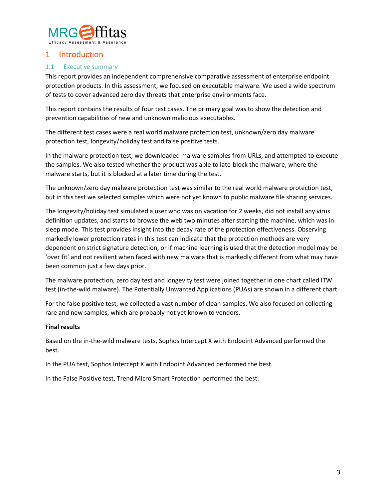

## 1 Introduction

#### 1.1 Executive summary

This report provides an independent comprehensive comparative assessment of enterprise endpoint protection products. In this assessment, we focused on executable malware. We used a wide spectrum of tests to cover advanced zero day threats that enterprise environments face.

This report contains the results of four test cases. The primary goal was to show the detection and prevention capabilities of new and unknown malicious executables.

The different test cases were a real world malware protection test, unknown/zero day malware protection test, longevity/holiday test and false positive tests.

In the malware protection test, we downloaded malware samples from URLs, and attempted to execute the samples. We also tested whether the product was able to late-block the malware, where the malware starts, but it is blocked at a later time during the test.

The unknown/zero day malware protection test was similar to the real world malware protection test, but in this test we selected samples which were not yet known to public malware file sharing services.

The longevity/holiday test simulated a user who was on vacation for 2 weeks, did not install any virus definition updates, and starts to browse the web two minutes after starting the machine, which was in sleep mode. This test provides insight into the decay rate of the protection effectiveness. Observing markedly lower protection rates in this test can indicate that the protection methods are very dependent on strict signature detection, or if machine learning is used that the detection model may be 'over fit' and not resilient when faced with new malware that is markedly different from what may have been common just a few days prior.

The malware protection, zero day test and longevity test were joined together in one chart called ITW test (in-the-wild malware). The Potentially Unwanted Applications (PUAs) are shown in a different chart.

For the false positive test, we collected a vast number of clean samples. We also focused on collecting rare and new samples, which are probably not yet known to vendors.

#### **Final results**

Based on the in-the-wild malware tests, Sophos Intercept X with Endpoint Advanced performed the best.

In the PUA test, Sophos Intercept X with Endpoint Advanced performed the best.

In the False Positive test, Trend Micro Smart Protection performed the best.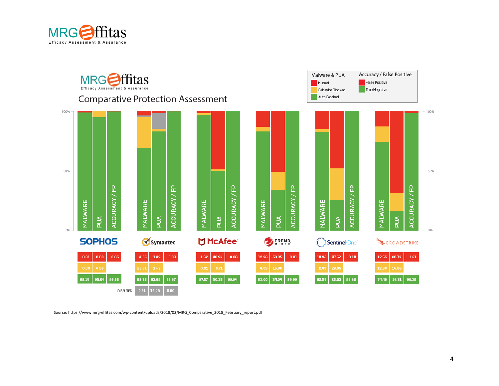

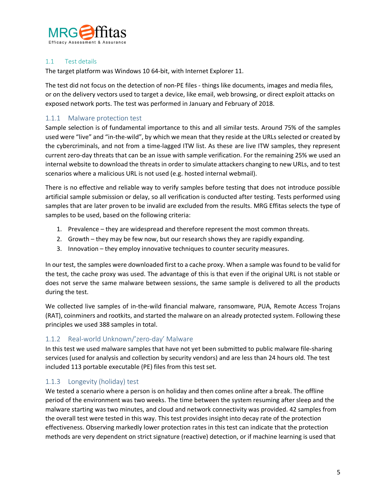

#### 1.1 Test details

The target platform was Windows 10 64-bit, with Internet Explorer 11.

The test did not focus on the detection of non-PE files - things like documents, images and media files, or on the delivery vectors used to target a device, like email, web browsing, or direct exploit attacks on exposed network ports. The test was performed in January and February of 2018.

## 1.1.1 Malware protection test

Sample selection is of fundamental importance to this and all similar tests. Around 75% of the samples used were "live" and "in-the-wild", by which we mean that they reside at the URLs selected or created by the cybercriminals, and not from a time-lagged ITW list. As these are live ITW samples, they represent current zero-day threats that can be an issue with sample verification. For the remaining 25% we used an internal website to download the threats in order to simulate attackers changing to new URLs, and to test scenarios where a malicious URL is not used (e.g. hosted internal webmail).

There is no effective and reliable way to verify samples before testing that does not introduce possible artificial sample submission or delay, so all verification is conducted after testing. Tests performed using samples that are later proven to be invalid are excluded from the results. MRG Effitas selects the type of samples to be used, based on the following criteria:

- 1. Prevalence they are widespread and therefore represent the most common threats.
- 2. Growth they may be few now, but our research shows they are rapidly expanding.
- 3. Innovation they employ innovative techniques to counter security measures.

In our test, the samples were downloaded first to a cache proxy. When a sample was found to be valid for the test, the cache proxy was used. The advantage of this is that even if the original URL is not stable or does not serve the same malware between sessions, the same sample is delivered to all the products during the test.

We collected live samples of in-the-wild financial malware, ransomware, PUA, Remote Access Trojans (RAT), coinminers and rootkits, and started the malware on an already protected system. Following these principles we used 388 samples in total.

#### 1.1.2 Real-world Unknown/'zero-day' Malware

In this test we used malware samples that have not yet been submitted to public malware file-sharing services (used for analysis and collection by security vendors) and are less than 24 hours old. The test included 113 portable executable (PE) files from this test set.

### 1.1.3 Longevity (holiday) test

We tested a scenario where a person is on holiday and then comes online after a break. The offline period of the environment was two weeks. The time between the system resuming after sleep and the malware starting was two minutes, and cloud and network connectivity was provided. 42 samples from the overall test were tested in this way. This test provides insight into decay rate of the protection effectiveness. Observing markedly lower protection rates in this test can indicate that the protection methods are very dependent on strict signature (reactive) detection, or if machine learning is used that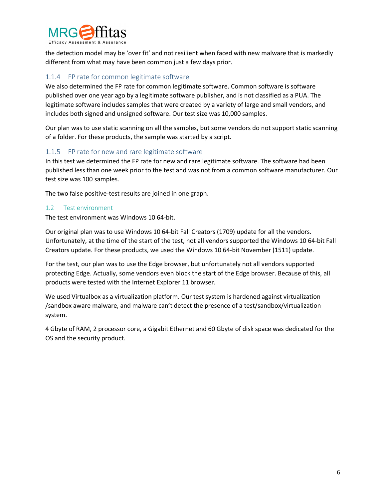

the detection model may be 'over fit' and not resilient when faced with new malware that is markedly different from what may have been common just a few days prior.

#### 1.1.4 FP rate for common legitimate software

We also determined the FP rate for common legitimate software. Common software is software published over one year ago by a legitimate software publisher, and is not classified as a PUA. The legitimate software includes samples that were created by a variety of large and small vendors, and includes both signed and unsigned software. Our test size was 10,000 samples.

Our plan was to use static scanning on all the samples, but some vendors do not support static scanning of a folder. For these products, the sample was started by a script.

#### 1.1.5 FP rate for new and rare legitimate software

In this test we determined the FP rate for new and rare legitimate software. The software had been published less than one week prior to the test and was not from a common software manufacturer. Our test size was 100 samples.

The two false positive-test results are joined in one graph.

#### 1.2 Test environment

The test environment was Windows 10 64-bit.

Our original plan was to use Windows 10 64-bit Fall Creators (1709) update for all the vendors. Unfortunately, at the time of the start of the test, not all vendors supported the Windows 10 64-bit Fall Creators update. For these products, we used the Windows 10 64-bit November (1511) update.

For the test, our plan was to use the Edge browser, but unfortunately not all vendors supported protecting Edge. Actually, some vendors even block the start of the Edge browser. Because of this, all products were tested with the Internet Explorer 11 browser.

We used Virtualbox as a virtualization platform. Our test system is hardened against virtualization /sandbox aware malware, and malware can't detect the presence of a test/sandbox/virtualization system.

4 Gbyte of RAM, 2 processor core, a Gigabit Ethernet and 60 Gbyte of disk space was dedicated for the OS and the security product.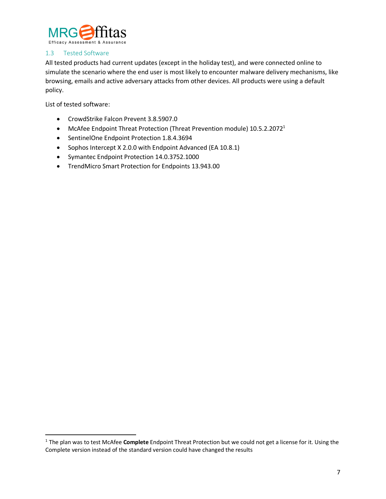

#### 1.3 Tested Software

All tested products had current updates (except in the holiday test), and were connected online to simulate the scenario where the end user is most likely to encounter malware delivery mechanisms, like browsing, emails and active adversary attacks from other devices. All products were using a default policy.

List of tested software:

- CrowdStrike Falcon Prevent 3.8.5907.0
- McAfee Endpoint Threat Protection (Threat Prevention module)  $10.5.2.2072<sup>1</sup>$
- SentinelOne Endpoint Protection 1.8.4.3694
- Sophos Intercept X 2.0.0 with Endpoint Advanced (EA 10.8.1)
- Symantec Endpoint Protection 14.0.3752.1000
- TrendMicro Smart Protection for Endpoints 13.943.00

 <sup>1</sup> The plan was to test McAfee **Complete** Endpoint Threat Protection but we could not get a license for it. Using the Complete version instead of the standard version could have changed the results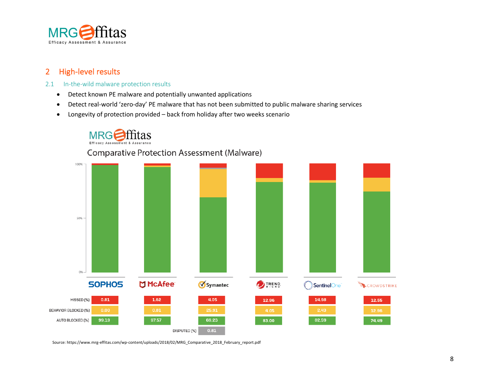

# 2 High-level results

- 2.1 In-the-wild malware protection results
	- Detect known PE malware and potentially unwanted applications
	- Detect real-world 'zero-day' PE malware that has not been submitted to public malware sharing services
	- Longevity of protection provided back from holiday after two weeks scenario

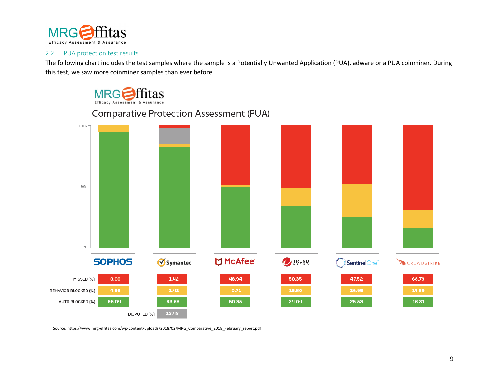

#### 2.2 PUA protection test results

The following chart includes the test samples where the sample is a Potentially Unwanted Application (PUA), adware or a PUA coinminer. During this test, we saw more coinminer samples than ever before.



100% 50%  $096 -$ **DI McAfee** Symantec **SOPHOS DIREND** SentinelOne<sup>®</sup> CROWDSTRIKE  $0.00$ 1.42 48.94 50.35 47.52 MISSED (%) 68.79 BEHAVIOR BLOCKED [%] 95.04 34.04 AUTO BLOCKED [%] 83.69 50.35 25.53 16.31 13.48 DISPUTED (%)

# **Comparative Protection Assessment (PUA)**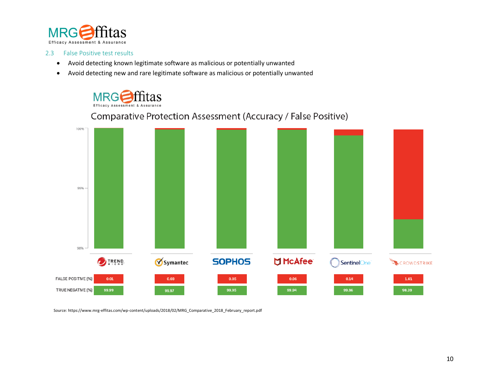

#### 2.3 False Positive test results

- Avoid detecting known legitimate software as malicious or potentially unwanted
- Avoid detecting new and rare legitimate software as malicious or potentially unwanted



#### 100% 99% 98% **OTREND SOPHOS DI McAfee** Symantec SentinelOne<sup>®</sup> CROWDSTRIKE FALSE POSITIVE [%]  $0.01$  $0.03$  $0.05$  $0.06$  $0.14$  ${\bf 1.61}$ TRUE NEGATIVE [%] 99.99 99.95 99.94 99.86 98.39 99.97

# Comparative Protection Assessment (Accuracy / False Positive)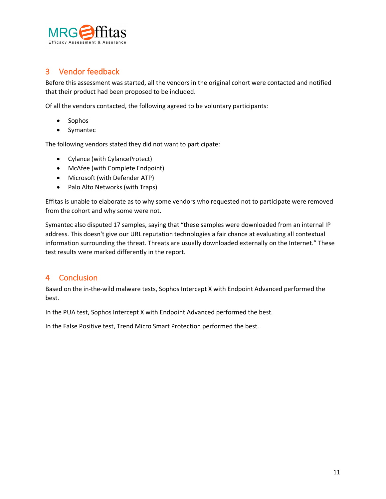

# 3 Vendor feedback

Before this assessment was started, all the vendors in the original cohort were contacted and notified that their product had been proposed to be included.

Of all the vendors contacted, the following agreed to be voluntary participants:

- Sophos
- Symantec

The following vendors stated they did not want to participate:

- Cylance (with CylanceProtect)
- McAfee (with Complete Endpoint)
- Microsoft (with Defender ATP)
- Palo Alto Networks (with Traps)

Effitas is unable to elaborate as to why some vendors who requested not to participate were removed from the cohort and why some were not.

Symantec also disputed 17 samples, saying that "these samples were downloaded from an internal IP address. This doesn't give our URL reputation technologies a fair chance at evaluating all contextual information surrounding the threat. Threats are usually downloaded externally on the Internet." These test results were marked differently in the report.

## 4 Conclusion

Based on the in-the-wild malware tests, Sophos Intercept X with Endpoint Advanced performed the best.

In the PUA test, Sophos Intercept X with Endpoint Advanced performed the best.

In the False Positive test, Trend Micro Smart Protection performed the best.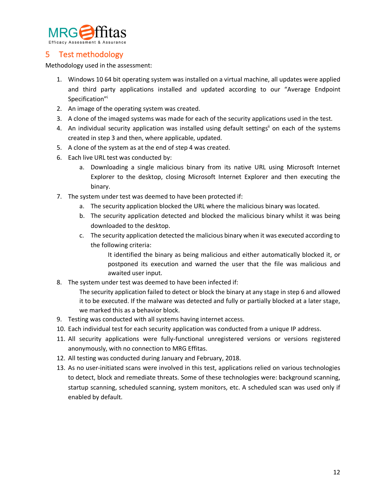

# 5 Test methodology

Methodology used in the assessment:

- 1. Windows 10 64 bit operating system was installed on a virtual machine, all updates were applied and third party applications installed and updated according to our "Average Endpoint Specification"i
- 2. An image of the operating system was created.
- 3. A clone of the imaged systems was made for each of the security applications used in the test.
- 4. An individual security application was installed using default settings<sup>ii</sup> on each of the systems created in step 3 and then, where applicable, updated.
- 5. A clone of the system as at the end of step 4 was created.
- 6. Each live URL test was conducted by:
	- a. Downloading a single malicious binary from its native URL using Microsoft Internet Explorer to the desktop, closing Microsoft Internet Explorer and then executing the binary.
- 7. The system under test was deemed to have been protected if:
	- a. The security application blocked the URL where the malicious binary was located.
	- b. The security application detected and blocked the malicious binary whilst it was being downloaded to the desktop.
	- c. The security application detected the malicious binary when it was executed according to the following criteria:

It identified the binary as being malicious and either automatically blocked it, or postponed its execution and warned the user that the file was malicious and awaited user input.

8. The system under test was deemed to have been infected if:

The security application failed to detect or block the binary at any stage in step 6 and allowed it to be executed. If the malware was detected and fully or partially blocked at a later stage, we marked this as a behavior block.

- 9. Testing was conducted with all systems having internet access.
- 10. Each individual test for each security application was conducted from a unique IP address.
- 11. All security applications were fully-functional unregistered versions or versions registered anonymously, with no connection to MRG Effitas.
- 12. All testing was conducted during January and February, 2018.
- 13. As no user-initiated scans were involved in this test, applications relied on various technologies to detect, block and remediate threats. Some of these technologies were: background scanning, startup scanning, scheduled scanning, system monitors, etc. A scheduled scan was used only if enabled by default.